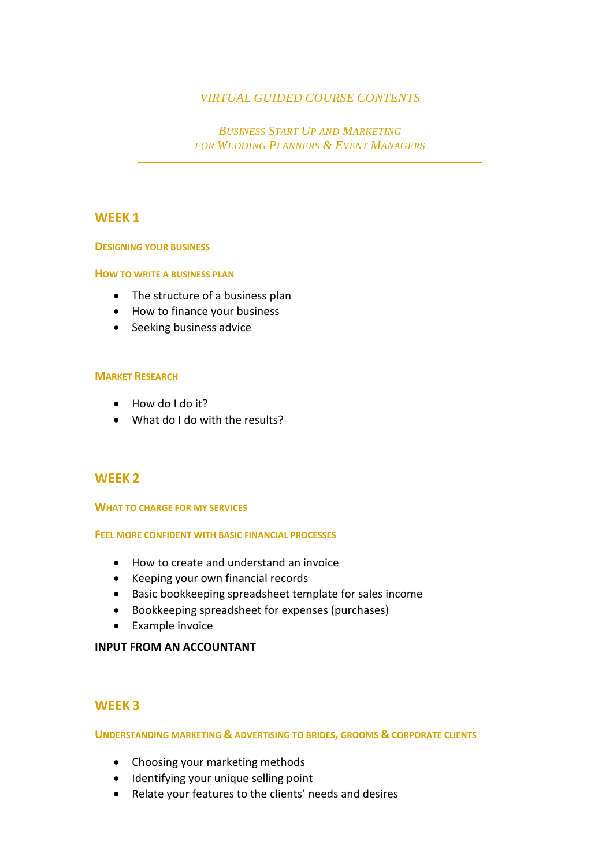# *VIRTUAL GUIDED COURSE CONTENTS*

*BUSINESS START UP AND MARKETING FOR WEDDING PLANNERS & EVENT MANAGERS*

# **WEEK 1**

#### **DESIGNING YOUR BUSINESS**

#### **HOW TO WRITE A BUSINESS PLAN**

- The structure of a business plan
- How to finance your business
- Seeking business advice

## **MARKET RESEARCH**

- How do I do it?
- What do I do with the results?

# **WEEK 2**

#### **WHAT TO CHARGE FOR MY SERVICES**

#### **FEEL MORE CONFIDENT WITH BASIC FINANCIAL PROCESSES**

- How to create and understand an invoice
- Keeping your own financial records
- Basic bookkeeping spreadsheet template for sales income
- Bookkeeping spreadsheet for expenses (purchases)
- Example invoice

## **INPUT FROM AN ACCOUNTANT**

# **WEEK 3**

## **UNDERSTANDING MARKETING & ADVERTISING TO BRIDES, GROOMS & CORPORATE CLIENTS**

- Choosing your marketing methods
- Identifying your unique selling point
- Relate your features to the clients' needs and desires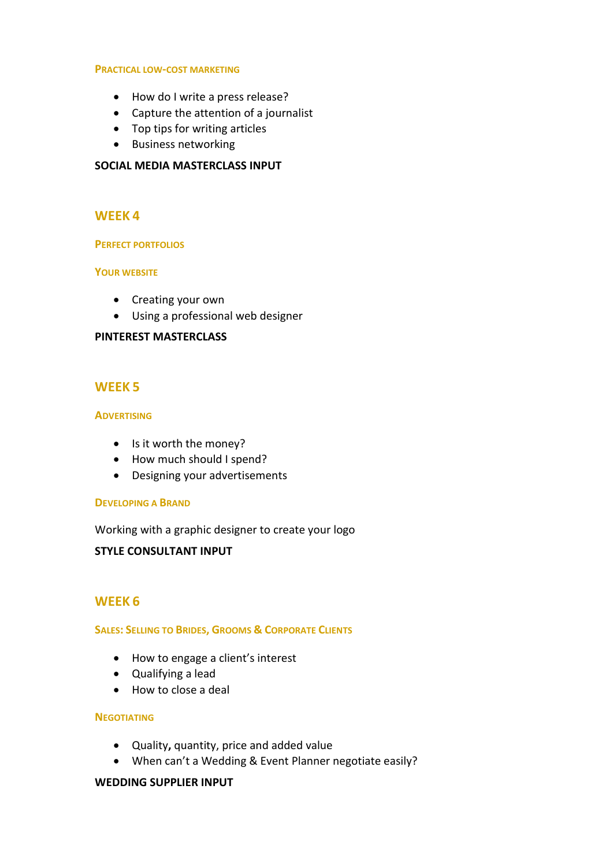#### **PRACTICAL LOW-COST MARKETING**

- How do I write a press release?
- Capture the attention of a journalist
- Top tips for writing articles
- Business networking

## **SOCIAL MEDIA MASTERCLASS INPUT**

## **WEEK 4**

#### **PERFECT PORTFOLIOS**

#### **YOUR WEBSITE**

- Creating your own
- Using a professional web designer

## **PINTEREST MASTERCLASS**

# **WEEK 5**

#### **ADVERTISING**

- Is it worth the money?
- How much should I spend?
- Designing your advertisements

#### **DEVELOPING A BRAND**

Working with a graphic designer to create your logo

## **STYLE CONSULTANT INPUT**

## **WEEK 6**

#### **SALES: SELLING TO BRIDES, GROOMS & CORPORATE CLIENTS**

- How to engage a client's interest
- Qualifying a lead
- How to close a deal

### **NEGOTIATING**

- Quality**,** quantity, price and added value
- When can't a Wedding & Event Planner negotiate easily?

#### **WEDDING SUPPLIER INPUT**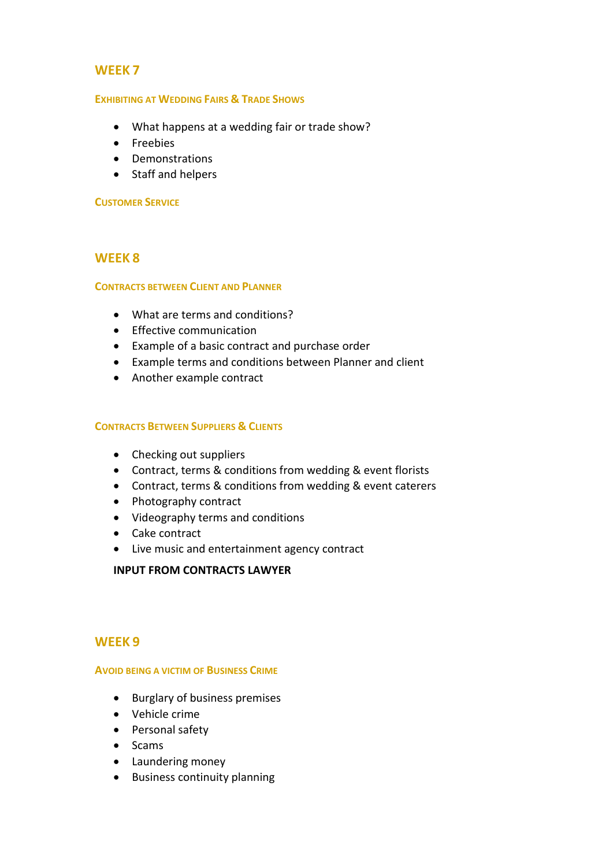# **WEEK 7**

### **EXHIBITING AT WEDDING FAIRS & TRADE SHOWS**

- What happens at a wedding fair or trade show?
- Freebies
- Demonstrations
- Staff and helpers

## **CUSTOMER SERVICE**

# **WEEK 8**

## **CONTRACTS BETWEEN CLIENT AND PLANNER**

- What are terms and conditions?
- Effective communication
- Example of a basic contract and purchase order
- Example terms and conditions between Planner and client
- Another example contract

## **CONTRACTS BETWEEN SUPPLIERS & CLIENTS**

- Checking out suppliers
- Contract, terms & conditions from wedding & event florists
- Contract, terms & conditions from wedding & event caterers
- Photography contract
- Videography terms and conditions
- Cake contract
- Live music and entertainment agency contract

## **INPUT FROM CONTRACTS LAWYER**

## **WEEK 9**

#### **AVOID BEING A VICTIM OF BUSINESS CRIME**

- Burglary of business premises
- Vehicle crime
- Personal safety
- Scams
- Laundering money
- Business continuity planning